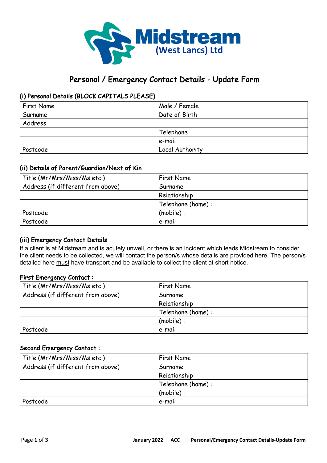

# Personal / Emergency Contact Details - Update Form

## (i) Personal Details (BLOCK CAPITALS PLEASE)

| First Name | Male / Female   |
|------------|-----------------|
| Surname    | Date of Birth   |
| Address    |                 |
|            | Telephone       |
|            | e-mail          |
| Postcode   | Local Authority |

## (ii) Details of Parent/Guardian/Next of Kin

| Title (Mr/Mrs/Miss/Ms etc.)       | First Name        |
|-----------------------------------|-------------------|
| Address (if different from above) | Surname           |
|                                   | Relationship      |
|                                   | Telephone (home): |
| Postcode                          | (mobile):         |
| Postcode                          | e-mail            |

## (iii) Emergency Contact Details

If a client is at Midstream and is acutely unwell, or there is an incident which leads Midstream to consider the client needs to be collected, we will contact the person/s whose details are provided here. The person/s detailed here must have transport and be available to collect the client at short notice.

## First Emergency Contact :

| Title (Mr/Mrs/Miss/Ms etc.)       | First Name        |
|-----------------------------------|-------------------|
| Address (if different from above) | Surname           |
|                                   | Relationship      |
|                                   | Telephone (home): |
|                                   | (mobile):         |
| Postcode                          | e-mail            |

### Second Emergency Contact :

| Title (Mr/Mrs/Miss/Ms etc.)       | First Name        |
|-----------------------------------|-------------------|
| Address (if different from above) | Surname           |
|                                   | Relationship      |
|                                   | Telephone (home): |
|                                   | (mobile):         |
| Postcode                          | e-mail            |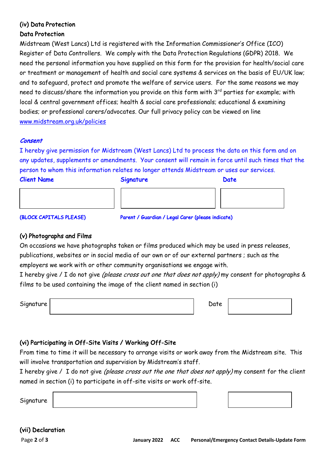## (iv) Data Protection Data Protection

Midstream (West Lancs) Ltd is registered with the Information Commissioner's Office (ICO) Register of Data Controllers. We comply with the Data Protection Regulations (GDPR) 2018. We need the personal information you have supplied on this form for the provision for health/social care or treatment or management of health and social care systems & services on the basis of EU/UK law; and to safeguard, protect and promote the welfare of service users. For the same reasons we may need to discuss/share the information you provide on this form with  $3<sup>rd</sup>$  parties for example; with local & central government offices; health & social care professionals; educational & examining bodies; or professional carers/advocates. Our full privacy policy can be viewed on line www.midstream.org.uk/policies

## Consent

I hereby give permission for Midstream (West Lancs) Ltd to process the data on this form and on any updates, supplements or amendments. Your consent will remain in force until such times that the person to whom this information relates no longer attends Midstream or uses our services.

Client Name Signature Date

 $\overline{\phantom{a}}$ 

|  | Signature |  |
|--|-----------|--|
|  |           |  |

(BLOCK CAPITALS PLEASE) Parent / Guardian / Legal Carer (please indicate)

## (v) Photographs and Films

On occasions we have photographs taken or films produced which may be used in press releases, publications, websites or in social media of our own or of our external partners ; such as the employers we work with or other community organisations we engage with.

I hereby give / I do not give (please cross out one that does not apply) my consent for photographs & films to be used containing the image of the client named in section (i)

| Signature | Date |
|-----------|------|
|           |      |

## (vi) Participating in Off-Site Visits / Working Off-Site

From time to time it will be necessary to arrange visits or work away from the Midstream site. This will involve transportation and supervision by Midstream's staff.

I hereby give / I do not give (please cross out the one that does not apply) my consent for the client named in section (i) to participate in off-site visits or work off-site.

Signature